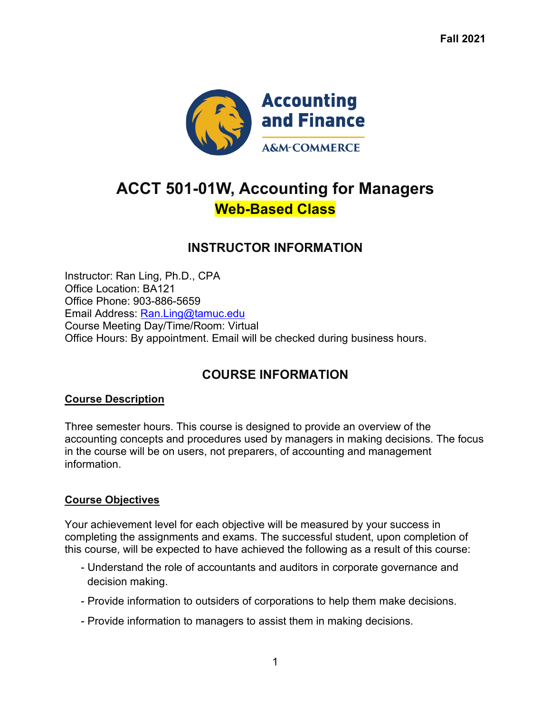**Fall 2021**



# **ACCT 501-01W, Accounting for Managers Web-Based Class**

### **INSTRUCTOR INFORMATION**

Instructor: Ran Ling, Ph.D., CPA Office Location: BA121 Office Phone: 903-886-5659 Email Address: Ran.Ling@tamuc.edu Course Meeting Day/Time/Room: Virtual Office Hours: By appointment. Email will be checked during business hours.

# **COURSE INFORMATION**

#### **Course Description**

Three semester hours. This course is designed to provide an overview of the accounting concepts and procedures used by managers in making decisions. The focus in the course will be on users, not preparers, of accounting and management information.

### **Course Objectives**

Your achievement level for each objective will be measured by your success in completing the assignments and exams. The successful student, upon completion of this course, will be expected to have achieved the following as a result of this course:

- Understand the role of accountants and auditors in corporate governance and decision making.
- Provide information to outsiders of corporations to help them make decisions.
- Provide information to managers to assist them in making decisions.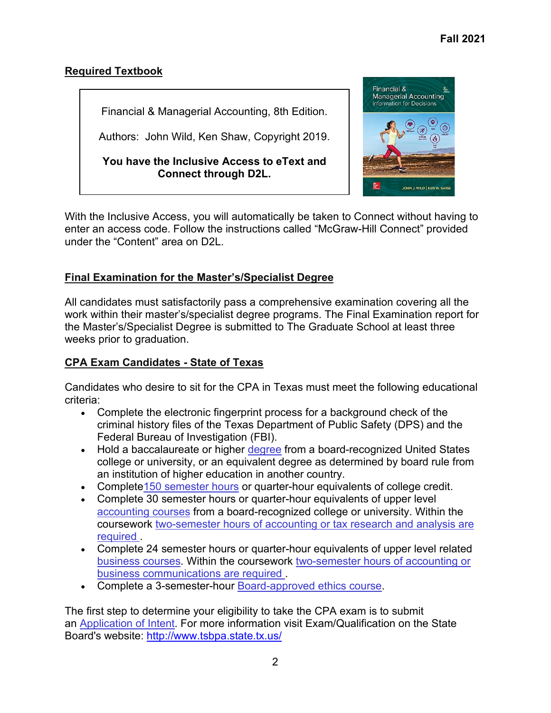### **Required Textbook**

Financial & Managerial Accounting, 8th Edition.

Authors: John Wild, Ken Shaw, Copyright 2019.

**You have the Inclusive Access to eText and Connect through D2L.**



With the Inclusive Access, you will automatically be taken to Connect without having to enter an access code. Follow the instructions called "McGraw-Hill Connect" provided under the "Content" area on D2L.

### **Final Examination for the Master's/Specialist Degree**

All candidates must satisfactorily pass a comprehensive examination covering all the work within their master's/specialist degree programs. The Final Examination report for the Master's/Specialist Degree is submitted to The Graduate School at least three weeks prior to graduation.

### **CPA Exam Candidates - State of Texas**

Candidates who desire to sit for the CPA in Texas must meet the following educational criteria:

- Complete the electronic fingerprint process for a background check of the criminal history files of the Texas Department of Public Safety (DPS) and the Federal Bureau of Investigation (FBI).
- Hold a baccalaureate or higher [degree](https://www.tsbpa.texas.gov/exam-qualification/education-degrees.html) from a board-recognized United States college or university, or an equivalent degree as determined by board rule from an institution of higher education in another country.
- Complete 150 semester hours or quarter-hour equivalents of college credit.
- Complete 30 semester hours or quarter-hour equivalents of upper level [accounting courses](https://www.tsbpa.texas.gov/exam-qualification/education-accounting-courses.html) from a board-recognized college or university. Within the coursework [two-semester hours of accounting or tax research and analysis are](https://www.tsbpa.texas.gov/pdffiles/accounting-courses.pdf)  [required](https://www.tsbpa.texas.gov/pdffiles/accounting-courses.pdf) .
- Complete 24 semester hours or quarter-hour equivalents of upper level related [business courses.](https://www.tsbpa.texas.gov/exam-qualification/education-business-courses.html) Within the coursework [two-semester hours of accounting or](https://www.tsbpa.texas.gov/pdffiles/accounting-courses.pdf)  [business communications are required](https://www.tsbpa.texas.gov/pdffiles/accounting-courses.pdf) .
- Complete a 3-semester-hour [Board-approved ethics course.](https://www.tsbpa.texas.gov/exam-qualification/education-ethics-courses.html)

The first step to determine your eligibility to take the CPA exam is to submit an [Application of Intent.](https://www.tsbpa.texas.gov/forms/individuals-wo-uniform.html) For more information visit Exam/Qualification on the State Board's website: <http://www.tsbpa.state.tx.us/>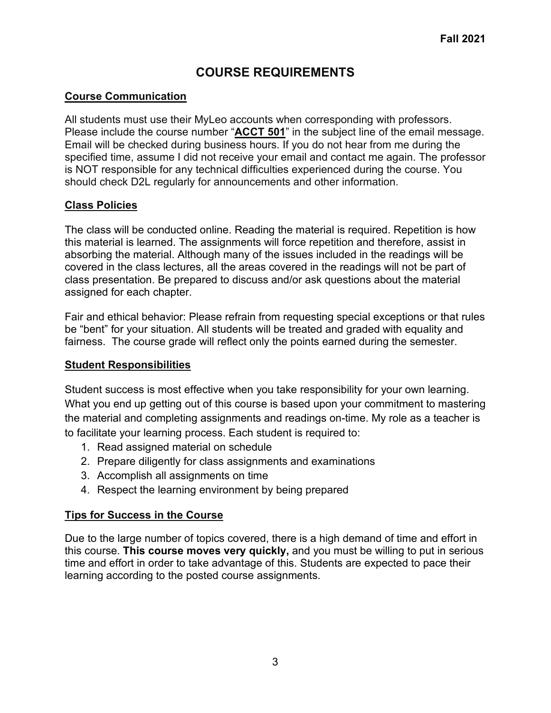# **COURSE REQUIREMENTS**

### **Course Communication**

All students must use their MyLeo accounts when corresponding with professors. Please include the course number "**ACCT 501**" in the subject line of the email message. Email will be checked during business hours. If you do not hear from me during the specified time, assume I did not receive your email and contact me again. The professor is NOT responsible for any technical difficulties experienced during the course. You should check D2L regularly for announcements and other information.

### **Class Policies**

The class will be conducted online. Reading the material is required. Repetition is how this material is learned. The assignments will force repetition and therefore, assist in absorbing the material. Although many of the issues included in the readings will be covered in the class lectures, all the areas covered in the readings will not be part of class presentation. Be prepared to discuss and/or ask questions about the material assigned for each chapter.

Fair and ethical behavior: Please refrain from requesting special exceptions or that rules be "bent" for your situation. All students will be treated and graded with equality and fairness. The course grade will reflect only the points earned during the semester.

### **Student Responsibilities**

Student success is most effective when you take responsibility for your own learning. What you end up getting out of this course is based upon your commitment to mastering the material and completing assignments and readings on-time. My role as a teacher is to facilitate your learning process. Each student is required to:

- 1. Read assigned material on schedule
- 2. Prepare diligently for class assignments and examinations
- 3. Accomplish all assignments on time
- 4. Respect the learning environment by being prepared

### **Tips for Success in the Course**

Due to the large number of topics covered, there is a high demand of time and effort in this course. **This course moves very quickly,** and you must be willing to put in serious time and effort in order to take advantage of this. Students are expected to pace their learning according to the posted course assignments.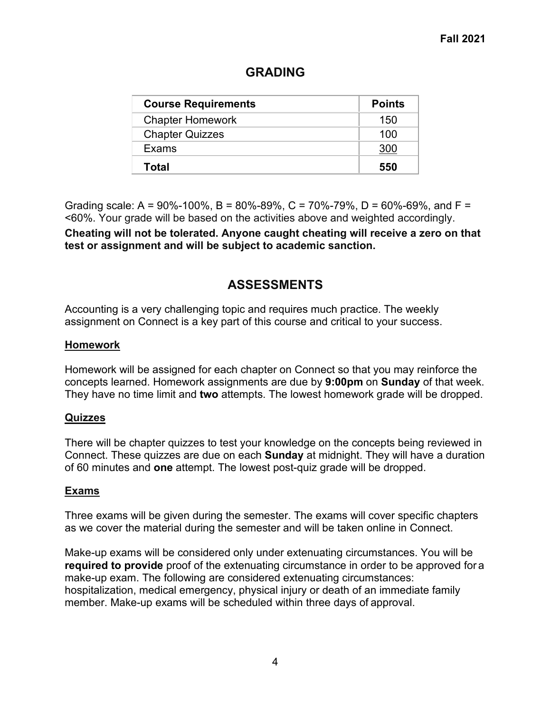| <b>Course Requirements</b> | <b>Points</b> |
|----------------------------|---------------|
| <b>Chapter Homework</b>    | 150           |
| <b>Chapter Quizzes</b>     | 100           |
| Exams                      | 300           |
| <b>Total</b>               | 550           |

# **GRADING**

Grading scale: A = 90%-100%, B = 80%-89%, C = 70%-79%, D = 60%-69%, and F = <60%. Your grade will be based on the activities above and weighted accordingly.

**Cheating will not be tolerated. Anyone caught cheating will receive a zero on that test or assignment and will be subject to academic sanction.**

### **ASSESSMENTS**

Accounting is a very challenging topic and requires much practice. The weekly assignment on Connect is a key part of this course and critical to your success.

#### **Homework**

Homework will be assigned for each chapter on Connect so that you may reinforce the concepts learned. Homework assignments are due by **9:00pm** on **Sunday** of that week. They have no time limit and **two** attempts. The lowest homework grade will be dropped.

### **Quizzes**

There will be chapter quizzes to test your knowledge on the concepts being reviewed in Connect. These quizzes are due on each **Sunday** at midnight. They will have a duration of 60 minutes and **one** attempt. The lowest post-quiz grade will be dropped.

### **Exams**

Three exams will be given during the semester. The exams will cover specific chapters as we cover the material during the semester and will be taken online in Connect.

Make-up exams will be considered only under extenuating circumstances. You will be **required to provide** proof of the extenuating circumstance in order to be approved for a make-up exam. The following are considered extenuating circumstances: hospitalization, medical emergency, physical injury or death of an immediate family member. Make-up exams will be scheduled within three days of approval.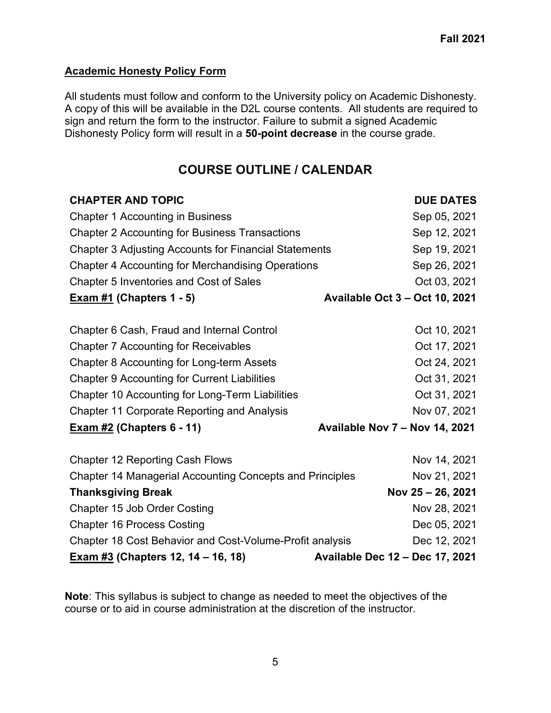### **Academic Honesty Policy Form**

All students must follow and conform to the University policy on Academic Dishonesty. A copy of this will be available in the D2L course contents. All students are required to sign and return the form to the instructor. Failure to submit a signed Academic Dishonesty Policy form will result in a **50-point decrease** in the course grade.

## **COURSE OUTLINE / CALENDAR**

| <b>CHAPTER AND TOPIC</b>                                        | <b>DUE DATES</b>                      |
|-----------------------------------------------------------------|---------------------------------------|
| <b>Chapter 1 Accounting in Business</b>                         | Sep 05, 2021                          |
| <b>Chapter 2 Accounting for Business Transactions</b>           | Sep 12, 2021                          |
| <b>Chapter 3 Adjusting Accounts for Financial Statements</b>    | Sep 19, 2021                          |
| <b>Chapter 4 Accounting for Merchandising Operations</b>        | Sep 26, 2021                          |
| Chapter 5 Inventories and Cost of Sales                         | Oct 03, 2021                          |
| <b>Exam #1</b> (Chapters $1 - 5$ )                              | <b>Available Oct 3 - Oct 10, 2021</b> |
|                                                                 |                                       |
| Chapter 6 Cash, Fraud and Internal Control                      | Oct 10, 2021                          |
| <b>Chapter 7 Accounting for Receivables</b>                     | Oct 17, 2021                          |
| Chapter 8 Accounting for Long-term Assets                       | Oct 24, 2021                          |
| <b>Chapter 9 Accounting for Current Liabilities</b>             | Oct 31, 2021                          |
| <b>Chapter 10 Accounting for Long-Term Liabilities</b>          | Oct 31, 2021                          |
| <b>Chapter 11 Corporate Reporting and Analysis</b>              | Nov 07, 2021                          |
| <b>Exam #2 (Chapters 6 - 11)</b>                                | Available Nov 7 - Nov 14, 2021        |
| <b>Chapter 12 Reporting Cash Flows</b>                          | Nov 14, 2021                          |
| <b>Chapter 14 Managerial Accounting Concepts and Principles</b> | Nov 21, 2021                          |
| <b>Thanksgiving Break</b>                                       | Nov 25 - 26, 2021                     |
| Chapter 15 Job Order Costing                                    | Nov 28, 2021                          |
| <b>Chapter 16 Process Costing</b>                               | Dec 05, 2021                          |
| Chapter 18 Cost Behavior and Cost-Volume-Profit analysis        | Dec 12, 2021                          |
| <b>Exam #3</b> (Chapters 12, 14 – 16, 18)                       | Available Dec 12 - Dec 17, 2021       |

**Note**: This syllabus is subject to change as needed to meet the objectives of the course or to aid in course administration at the discretion of the instructor.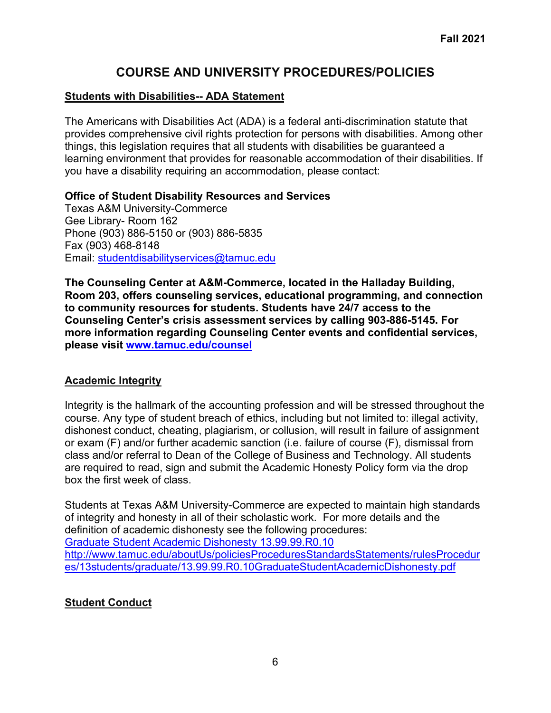### **COURSE AND UNIVERSITY PROCEDURES/POLICIES**

### **Students with Disabilities-- ADA Statement**

The Americans with Disabilities Act (ADA) is a federal anti-discrimination statute that provides comprehensive civil rights protection for persons with disabilities. Among other things, this legislation requires that all students with disabilities be guaranteed a learning environment that provides for reasonable accommodation of their disabilities. If you have a disability requiring an accommodation, please contact:

#### **Office of Student Disability Resources and Services**

Texas A&M University-Commerce Gee Library- Room 162 Phone (903) 886-5150 or (903) 886-5835 Fax (903) 468-8148 Email: [studentdisabilityservices@tamuc.edu](mailto:studentdisabilityservices@tamuc.edu)

**The Counseling Center at A&M-Commerce, located in the Halladay Building, Room 203, offers counseling services, educational programming, and connection to community resources for students. Students have 24/7 access to the Counseling Center's crisis assessment services by calling 903-886-5145. For more information regarding Counseling Center events and confidential services, please visit [www.tamuc.edu/counsel](http://www.tamuc.edu/counsel)**

### **Academic Integrity**

Integrity is the hallmark of the accounting profession and will be stressed throughout the course. Any type of student breach of ethics, including but not limited to: illegal activity, dishonest conduct, cheating, plagiarism, or collusion, will result in failure of assignment or exam (F) and/or further academic sanction (i.e. failure of course (F), dismissal from class and/or referral to Dean of the College of Business and Technology. All students are required to read, sign and submit the Academic Honesty Policy form via the drop box the first week of class.

Students at Texas A&M University-Commerce are expected to maintain high standards of integrity and honesty in all of their scholastic work. For more details and the definition of academic dishonesty see the following procedures: [Graduate Student Academic Dishonesty 13.99.99.R0.10](http://www.tamuc.edu/aboutUs/policiesProceduresStandardsStatements/rulesProcedures/13students/graduate/13.99.99.R0.10GraduateStudentAcademicDishonesty.pdf) [http://www.tamuc.edu/aboutUs/policiesProceduresStandardsStatements/rulesProcedur](http://www.tamuc.edu/aboutUs/policiesProceduresStandardsStatements/rulesProcedures/13students/graduate/13.99.99.R0.10GraduateStudentAcademicDishonesty.pdf) [es/13students/graduate/13.99.99.R0.10GraduateStudentAcademicDishonesty.pdf](http://www.tamuc.edu/aboutUs/policiesProceduresStandardsStatements/rulesProcedures/13students/graduate/13.99.99.R0.10GraduateStudentAcademicDishonesty.pdf)

### **Student Conduct**